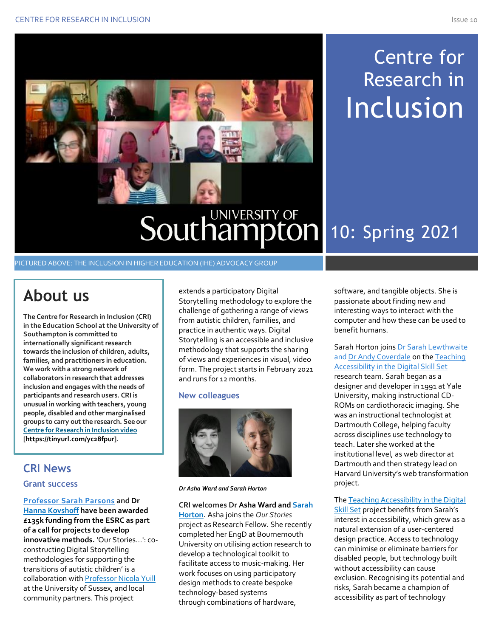# Centre for Research in **Inclusion**

## **Southampton** 10: Spring 2021

## PICTURED ABOVE: THE INCLUSION IN HIGHER EDUCATION (IHE) ADVOCACY GROUP

## **About us**

**The Centre for Research in Inclusion (CRI) in the Education School at the University of Southampton is committed to internationally significant research towards the inclusion of children, adults, families, and practitioners in education. We work with a strong network of collaborators in research that addresses inclusion and engages with the needs of participants and research users. CRI is unusual in working with teachers, young people, disabled and other marginalised groups to carry out the research. See our Centre for Research in Inclusion video [https://tinyurl.com/yc28fpur].**

### **CRI News**

#### **Grant success**

**Professor Sarah Parsons and Dr Hanna Kovshoff have been awarded £135k funding from the ESRC as part of a call for projects to develop innovative methods.** 'Our Stories...': coconstructing Digital Storytelling methodologies for supporting the transitions of autistic children' is a collaboration with Professor Nicola Yuill at the University of Sussex, and local community partners. This project

extends a participatory Digital Storytelling methodology to explore the challenge of gathering a range of views from autistic children, families, and practice in authentic ways. Digital Storytelling is an accessible and inclusive methodology that supports the sharing of views and experiences in visual, video form. The project starts in February 2021 and runs for 12 months.

#### **New colleagues**



*Dr Asha Ward and Sarah Horton*

#### **CRI welcomes Dr Asha Ward and Sarah**

**Horton.** Asha joins the *Our Stories* project as Research Fellow. She recently completed her EngD at Bournemouth University on utilising action research to develop a technological toolkit to facilitate access to music-making. Her work focuses on using participatory design methods to create bespoke technology-based systems through combinations of hardware,

software, and tangible objects. She is passionate about finding new and interesting ways to interact with the computer and how these can be used to benefit humans.

Sarah Horton joins Dr Sarah Lewthwaite and Dr Andy Coverdale on the Teaching Accessibility in the Digital Skill Set research team. Sarah began as a designer and developer in 1991 at Yale University, making instructional CD-ROMs on cardiothoracic imaging. She was an instructional technologist at Dartmouth College, helping faculty across disciplines use technology to teach. Later she worked at the institutional level, as web director at Dartmouth and then strategy lead on Harvard University's web transformation project.

The Teaching Accessibility in the Digital **Skill Set project benefits from Sarah's** interest in accessibility, which grew as a natural extension of a user-centered design practice. Access to technology can minimise or eliminate barriers for disabled people, but technology built without accessibility can cause exclusion. Recognising its potential and risks, Sarah became a champion of accessibility as part of technology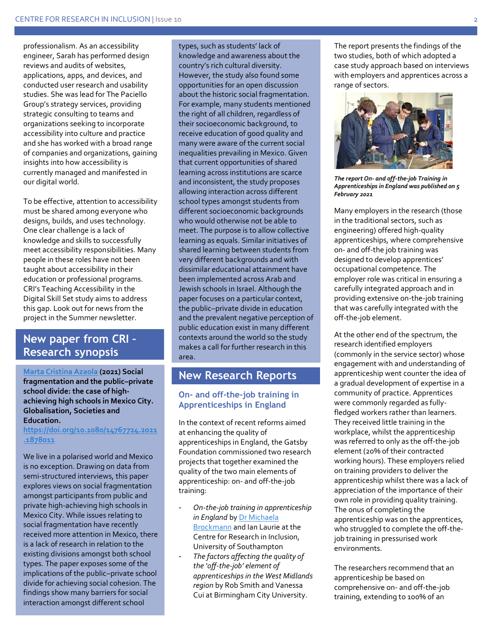professionalism. As an accessibility engineer, Sarah has performed design reviews and audits of websites, applications, apps, and devices, and conducted user research and usability studies. She was lead for The Paciello Group's strategy services, providing strategic consulting to teams and organizations seeking to incorporate accessibility into culture and practice and she has worked with a broad range of companies and organizations, gaining insights into how accessibility is currently managed and manifested in our digital world.

To be effective, attention to accessibility must be shared among everyone who designs, builds, and uses technology. One clear challenge is a lack of knowledge and skills to successfully meet accessibility responsibilities. Many people in these roles have not been taught about accessibility in their education or professional programs. CRI's Teaching Accessibility in the Digital Skill Set study aims to address this gap. Look out for news from the project in the Summer newsletter.

## **New paper from CRI – Research synopsis**

**Marta Cristina Azaola (2021) Social fragmentation and the public–private school divide: the case of highachieving high schools in Mexico City. Globalisation, Societies and Education.** 

**https://doi.org/10.1080/14767724.2021 .1878011**

We live in a polarised world and Mexico is no exception. Drawing on data from semi-structured interviews, this paper explores views on social fragmentation amongst participants from public and private high-achieving high schools in Mexico City. While issues relating to social fragmentation have recently received more attention in Mexico, there is a lack of research in relation to the existing divisions amongst both school types. The paper exposes some of the implications of the public–private school divide for achieving social cohesion. The findings show many barriers for social interaction amongst different school

types, such as students' lack of knowledge and awareness about the country's rich cultural diversity. However, the study also found some opportunities for an open discussion about the historic social fragmentation. For example, many students mentioned the right of all children, regardless of their socioeconomic background, to receive education of good quality and many were aware of the current social inequalities prevailing in Mexico. Given that current opportunities of shared learning across institutions are scarce and inconsistent, the study proposes allowing interaction across different school types amongst students from different socioeconomic backgrounds who would otherwise not be able to meet. The purpose is to allow collective learning as equals. Similar initiatives of shared learning between students from very different backgrounds and with dissimilar educational attainment have been implemented across Arab and Jewish schools in Israel. Although the paper focuses on a particular context, the public–private divide in education and the prevalent negative perception of public education exist in many different contexts around the world so the study makes a call for further research in this area.

### **New Research Reports**

#### **On- and off-the-job training in Apprenticeships in England**

In the context of recent reforms aimed at enhancing the quality of apprenticeships in England, the Gatsby Foundation commissioned two research projects that together examined the quality of the two main elements of apprenticeship: on- and off-the-job training:

- *On-the-job training in apprenticeship in England* by Dr Michaela Brockmann and Ian Laurie at the Centre for Research in Inclusion, University of Southampton
- *The factors affecting the quality of the 'off-the-job' element of apprenticeships in the West Midlands region* by Rob Smith and Vanessa Cui at Birmingham City University.

The report presents the findings of the two studies, both of which adopted a case study approach based on interviews with employers and apprentices across a range of sectors.



*The report On- and off-the-job Training in Apprenticeships in England was published on 5 February 2021*

Many employers in the research (those in the traditional sectors, such as engineering) offered high-quality apprenticeships, where comprehensive on- and off-the job training was designed to develop apprentices' occupational competence. The employer role was critical in ensuring a carefully integrated approach and in providing extensive on-the-job training that was carefully integrated with the off-the-job element.

At the other end of the spectrum, the research identified employers (commonly in the service sector) whose engagement with and understanding of apprenticeship went counter the idea of a gradual development of expertise in a community of practice. Apprentices were commonly regarded as fullyfledged workers rather than learners. They received little training in the workplace, whilst the apprenticeship was referred to only as the off-the-job element (20% of their contracted working hours). These employers relied on training providers to deliver the apprenticeship whilst there was a lack of appreciation of the importance of their own role in providing quality training. The onus of completing the apprenticeship was on the apprentices, who struggled to complete the off-thejob training in pressurised work environments.

The researchers recommend that an apprenticeship be based on comprehensive on- and off-the-job training, extending to 100% of an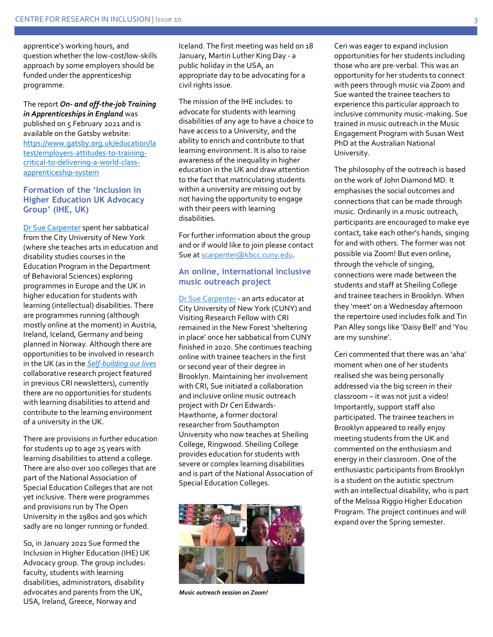apprentice's working hours, and question whether the low-cost/low-skills approach by some employers should be funded under the apprenticeship programme.

The report *On- and off-the-job Training in Apprenticeships in England* was published on 5 February 2021 and is available on the Gatsby website: https://www.gatsby.org.uk/education/la test/employers-attitudes-to-trainingcritical-to-delivering-a-world-classapprenticeship-system

#### **Formation of the 'Inclusion in Higher Education UK Advocacy Group' (IHE, UK)**

Dr Sue Carpenter spent her sabbatical from the City University of New York (where she teaches arts in education and disability studies courses in the Education Program in the Department of Behavioral Sciences) exploring programmes in Europe and the UK in higher education for students with learning (intellectual) disabilities. There are programmes running (although mostly online at the moment) in Austria, Ireland, Iceland, Germany and being planned in Norway. Although there are opportunities to be involved in research in the UK (as in the *Self-building our lives* collaborative research project featured in previous CRI newsletters), currently there are no opportunities for students with learning disabilities to attend and contribute to the learning environment of a university in the UK.

There are provisions in further education for students up to age 25 years with learning disabilities to attend a college. There are also over 100 colleges that are part of the National Association of Special Education Colleges that are not yet inclusive. There were programmes and provisions run by The Open University in the 1980s and 90s which sadly are no longer running or funded.

So, in January 2021 Sue formed the Inclusion in Higher Education (IHE) UK Advocacy group. The group includes: faculty, students with learning disabilities, administrators, disability advocates and parents from the UK, USA, Ireland, Greece, Norway and

Iceland. The first meeting was held on 18 January, Martin Luther King Day - a public holiday in the USA, an appropriate day to be advocating for a civil rights issue.

The mission of the IHE includes: to advocate for students with learning disabilities of any age to have a choice to have access to a University, and the ability to enrich and contribute to that learning environment. It is also to raise awareness of the inequality in higher education in the UK and draw attention to the fact that matriculating students within a university are missing out by not having the opportunity to engage with their peers with learning disabilities.

For further information about the group and or if would like to join please contact Sue at scarpenter@kbcc.cuny.edu.

#### **An online, international inclusive music outreach project**

Dr Sue Carpenter - an arts educator at City University of New York (CUNY) and Visiting Research Fellow with CRI remained in the New Forest 'sheltering in place' once her sabbatical from CUNY finished in 2020. She continues teaching online with trainee teachers in the first or second year of their degree in Brooklyn. Maintaining her involvement with CRI, Sue initiated a collaboration and inclusive online music outreach project with Dr Ceri Edwards-Hawthorne, a former doctoral researcher from Southampton University who now teaches at Sheiling College, Ringwood. Sheiling College provides education for students with severe or complex learning disabilities and is part of the National Association of Special Education Colleges.



*Music outreach session on Zoom!*

Ceri was eager to expand inclusion opportunities for her students including those who are pre-verbal. This was an opportunity for her students to connect with peers through music via Zoom and Sue wanted the trainee teachers to experience this particular approach to inclusive community music-making. Sue trained in music outreach in the Music Engagement Program with Susan West PhD at the Australian National University.

The philosophy of the outreach is based on the work of John Diamond MD. It emphasises the social outcomes and connections that can be made through music. Ordinarily in a music outreach, participants are encouraged to make eye contact, take each other's hands, singing for and with others. The former was not possible via Zoom! But even online, through the vehicle of singing, connections were made between the students and staff at Sheiling College and trainee teachers in Brooklyn. When they 'meet' on a Wednesday afternoon the repertoire used includes folk and Tin Pan Alley songs like 'Daisy Bell' and 'You are my sunshine'.

Ceri commented that there was an 'aha' moment when one of her students realised she was being personally addressed via the big screen in their classroom – it was not just a video! Importantly, support staff also participated. The trainee teachers in Brooklyn appeared to really enjoy meeting students from the UK and commented on the enthusiasm and energy in their classroom. One of the enthusiastic participants from Brooklyn is a student on the autistic spectrum with an intellectual disability, who is part of the Melissa Riggio Higher Education Program. The project continues and will expand over the Spring semester.